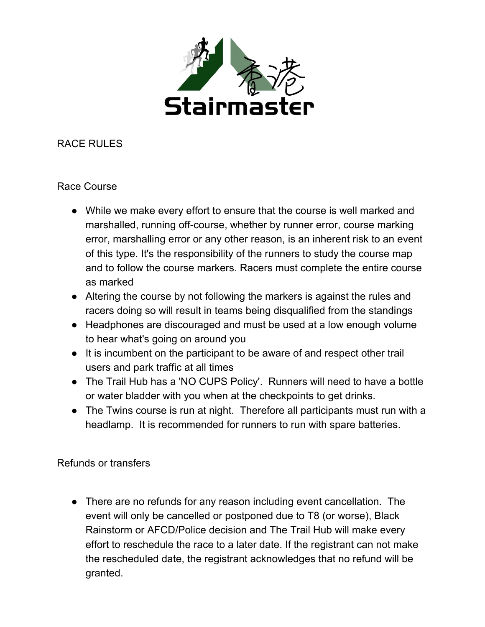

RACE RULES

## Race Course

- While we make every effort to ensure that the course is well marked and marshalled, running off-course, whether by runner error, course marking error, marshalling error or any other reason, is an inherent risk to an event of this type. It's the responsibility of the runners to study the course map and to follow the course markers. Racers must complete the entire course as marked
- Altering the course by not following the markers is against the rules and racers doing so will result in teams being disqualified from the standings
- Headphones are discouraged and must be used at a low enough volume to hear what's going on around you
- It is incumbent on the participant to be aware of and respect other trail users and park traffic at all times
- The Trail Hub has a 'NO CUPS Policy'. Runners will need to have a bottle or water bladder with you when at the checkpoints to get drinks.
- The Twins course is run at night. Therefore all participants must run with a headlamp. It is recommended for runners to run with spare batteries.

Refunds or transfers

• There are no refunds for any reason including event cancellation. The event will only be cancelled or postponed due to T8 (or worse), Black Rainstorm or AFCD/Police decision and The Trail Hub will make every effort to reschedule the race to a later date. If the registrant can not make the rescheduled date, the registrant acknowledges that no refund will be granted.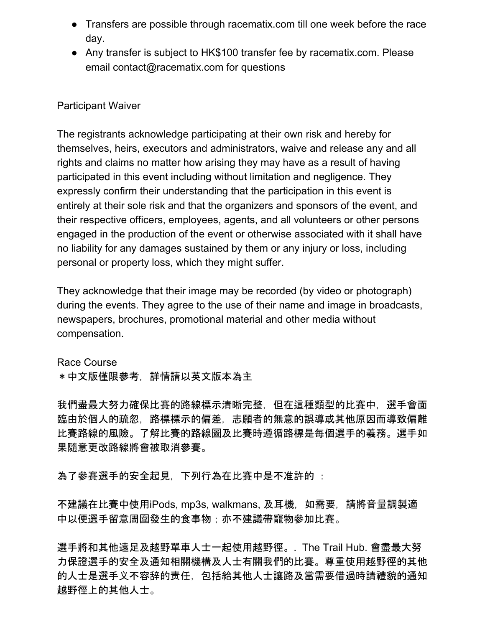- Transfers are possible through racematix.com till one week before the race day.
- Any transfer is subject to HK\$100 transfer fee by racematix.com. Please email contact@racematix.com for questions

## Participant Waiver

The registrants acknowledge participating at their own risk and hereby for themselves, heirs, executors and administrators, waive and release any and all rights and claims no matter how arising they may have as a result of having participated in this event including without limitation and negligence. They expressly confirm their understanding that the participation in this event is entirely at their sole risk and that the organizers and sponsors of the event, and their respective officers, employees, agents, and all volunteers or other persons engaged in the production of the event or otherwise associated with it shall have no liability for any damages sustained by them or any injury or loss, including personal or property loss, which they might suffer.

They acknowledge that their image may be recorded (by video or photograph) during the events. They agree to the use of their name and image in broadcasts, newspapers, brochures, promotional material and other media without compensation.

Race Course \*中文版僅限參考,詳情請以英文版本為主

我們盡最大努力確保比賽的路線標示清晰完整,但在這種類型的比賽中,選手會面 臨由於個人的疏忽,路標標示的偏差,志願者的無意的誤導或其他原因而導致偏離 比賽路線的風險。了解比賽的路線圖及比賽時遵循路標是每個選手的義務。選手如 果隨意更改路線將會被取消參賽。

為了參賽選手的安全起見,下列行為在比賽中是不准許的 :

不建議在比賽中使用iPods, mp3s, walkmans, 及耳機,如需要,請將音量調製適 中以便選手留意周圍發生的食事物;亦不建議帶寵物參加比賽。

選手將和其他遠足及越野單車人士一起使用越野徑。. The Trail Hub. 會盡最大努 力保證選手的安全及通知相關機構及人士有關我們的比賽。尊重使用越野徑的其他 的人士是選手义不容辞的责任,包括給其他人士讓路及當需要借過時請禮貌的通知 越野徑上的其他人士。